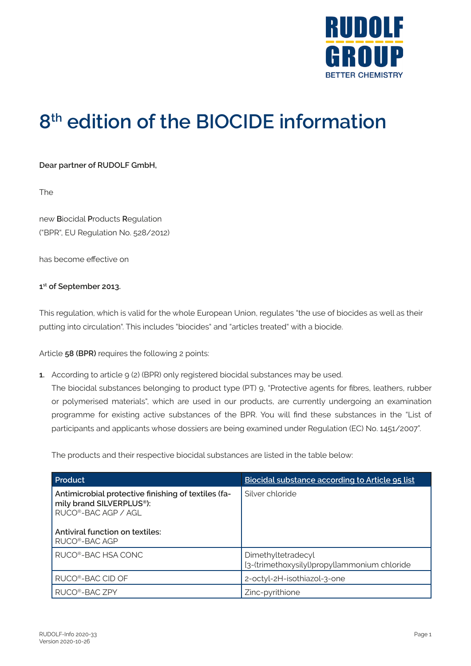

## **8th edition of the BIOCIDE information**

**Dear partner of RUDOLF GmbH,**

The

new **B**iocidal **P**roducts **R**egulation ("BPR", EU Regulation No. 528/2012)

has become effective on

## **1st of September 2013.**

This regulation, which is valid for the whole European Union, regulates "the use of biocides as well as their putting into circulation". This includes "biocides" and "articles treated" with a biocide.

Article **58 (BPR)** requires the following 2 points:

**1.** According to article 9 (2) (BPR) only registered biocidal substances may be used.

The biocidal substances belonging to product type (PT) 9, "Protective agents for fibres, leathers, rubber or polymerised materials", which are used in our products, are currently undergoing an examination programme for existing active substances of the BPR. You will find these substances in the "List of participants and applicants whose dossiers are being examined under Regulation (EC) No. 1451/2007".

The products and their respective biocidal substances are listed in the table below:

| Product                                                                                                                                                | Biocidal substance according to Article 95 list                    |
|--------------------------------------------------------------------------------------------------------------------------------------------------------|--------------------------------------------------------------------|
| Antimicrobial protective finishing of textiles (fa-<br>mily brand SILVERPLUS <sup>®</sup> ):<br>RUCO®-BAC AGP / AGI<br>Antiviral function on textiles: | Silver chloride                                                    |
| RUCO <sup>®</sup> -BAC AGP                                                                                                                             |                                                                    |
| RUCO®-BAC HSA CONC                                                                                                                                     | Dimethyltetradecyl<br>[3-(trimethoxysilyl)propyl]ammonium chloride |
| RUCO <sup>®</sup> -BAC CID OF                                                                                                                          | 2-octyl-2H-isothiazol-3-one                                        |
| RUCO <sup>®</sup> -BAC ZPY                                                                                                                             | Zinc-pyrithione                                                    |